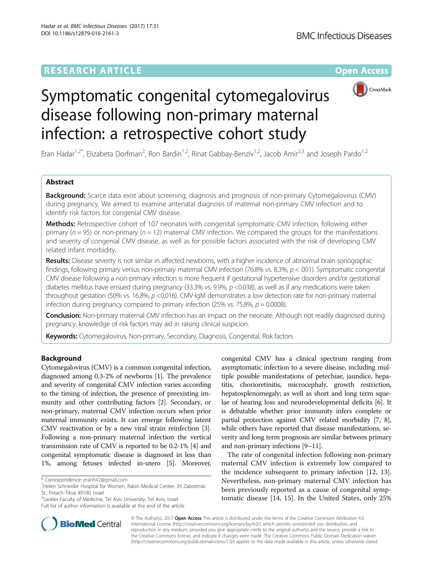

# Symptomatic congenital cytomegalovirus disease following non-primary maternal infection: a retrospective cohort study

Eran Hadar<sup>1,2\*</sup>, Elizabeta Dorfman<sup>2</sup>, Ron Bardin<sup>1,2</sup>, Rinat Gabbay-Benziv<sup>1,2</sup>, Jacob Amir<sup>2,3</sup> and Joseph Pardo<sup>1,2</sup>

# Abstract

**Background:** Scarce data exist about screening, diagnosis and prognosis of non-primary Cytomegalovirus (CMV) during pregnancy. We aimed to examine antenatal diagnosis of maternal non-primary CMV infection and to identify risk factors for congenial CMV disease.

Methods: Retrospective cohort of 107 neonates with congenital symptomatic CMV infection, following either primary ( $n = 95$ ) or non-primary ( $n = 12$ ) maternal CMV infection. We compared the groups for the manifestations and severity of congenial CMV disease, as well as for possible factors associated with the risk of developing CMV related infant morbidity.

Results: Disease severity is not similar in affected newborns, with a higher incidence of abnormal brain sonographic findings, following primary versus non-primary maternal CMV infection (76.8% vs. 8.3%,  $p < .001$ ). Symptomatic congenital CMV disease following a non-primary infection is more frequent if gestational hypertensive disorders and/or gestational diabetes mellitus have ensued during pregnancy (33.3% vs. 9.9%, p <0.038), as well as if any medications were taken throughout gestation (50% vs. 16.8%,  $p$  <0.016). CMV-IgM demonstrates a low detection rate for non-primary maternal infection during pregnancy compared to primary infection (25% vs. 75.8%,  $p = 0.0008$ ).

Conclusion: Non-primary maternal CMV infection has an impact on the neonate. Although not readily diagnosed during pregnancy, knowledge of risk factors may aid in raising clinical suspicion.

Keywords: Cytomegalovirus, Non-primary, Secondary, Diagnosis, Congenital, Risk factors

# Background

Cytomegalovirus (CMV) is a common congenital infection, diagnosed among 0.3-2% of newborns [\[1\]](#page-5-0). The prevalence and severity of congenital CMV infection varies according to the timing of infection, the presence of preexisting immunity and other contributing factors [[2](#page-5-0)]. Secondary, or non-primary, maternal CMV infection occurs when prior maternal immunity exists. It can emerge following latent CMV reactivation or by a new viral strain reinfection [[3](#page-5-0)]. Following a non-primary maternal infection the vertical transmission rate of CMV is reported to be 0.2-1% [\[4\]](#page-5-0) and congenital symptomatic disease is diagnosed in less than 1%, among fetuses infected in-utero [\[5\]](#page-5-0). Moreover,

Full list of author information is available at the end of the article

congenital CMV has a clinical spectrum ranging from asymptomatic infection to a severe disease, including multiple possible manifestations of petechiae, jaundice, hepatitis, chorioretinitis, microcephaly, growth restriction, hepatosplenomegaly; as well as short and long term squelae of hearing loss and neurodevelopmental deficits [\[6\]](#page-5-0). It is debatable whether prior immunity infers complete or partial protection against CMV related morbidity [\[7, 8](#page-5-0)], while others have reported that disease manifestations, severity and long term prognosis are similar between primary and non-primary infections [[9](#page-5-0)–[11\]](#page-5-0).

The rate of congenital infection following non-primary maternal CMV infection is extremely low compared to the incidence subsequent to primary infection [\[12](#page-5-0), [13](#page-5-0)]. Nevertheless, non-primary maternal CMV infection has been previously reported as a cause of congenital symptomatic disease [\[14, 15\]](#page-5-0). In the United States, only 25%



© The Author(s). 2017 **Open Access** This article is distributed under the terms of the Creative Commons Attribution 4.0 International License [\(http://creativecommons.org/licenses/by/4.0/](http://creativecommons.org/licenses/by/4.0/)), which permits unrestricted use, distribution, and reproduction in any medium, provided you give appropriate credit to the original author(s) and the source, provide a link to the Creative Commons license, and indicate if changes were made. The Creative Commons Public Domain Dedication waiver [\(http://creativecommons.org/publicdomain/zero/1.0/](http://creativecommons.org/publicdomain/zero/1.0/)) applies to the data made available in this article, unless otherwise stated.

<sup>\*</sup> Correspondence: [eranh42@gmail.com](mailto:eranh42@gmail.com) <sup>1</sup>

<sup>&</sup>lt;sup>1</sup>Helen Schneider Hospital for Women, Rabin Medical Center, 39 Zabotinski St., Petach-Tikva 49100, Israel

<sup>&</sup>lt;sup>2</sup>Sackler Faculty of Medicine, Tel Aviv University, Tel Aviv, Israel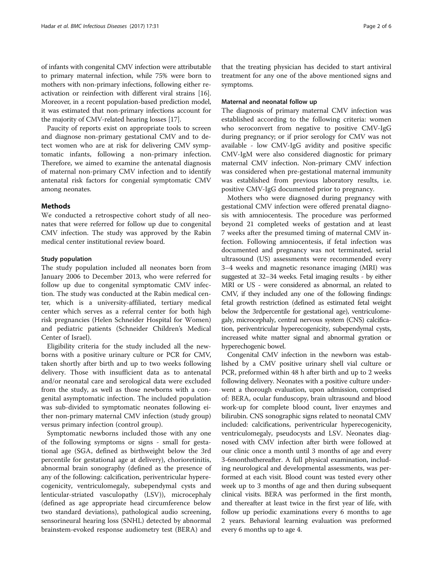of infants with congenital CMV infection were attributable to primary maternal infection, while 75% were born to mothers with non-primary infections, following either reactivation or reinfection with different viral strains [[16](#page-5-0)]. Moreover, in a recent population-based prediction model, it was estimated that non-primary infections account for the majority of CMV-related hearing losses [[17](#page-5-0)].

Paucity of reports exist on appropriate tools to screen and diagnose non-primary gestational CMV and to detect women who are at risk for delivering CMV symptomatic infants, following a non-primary infection. Therefore, we aimed to examine the antenatal diagnosis of maternal non-primary CMV infection and to identify antenatal risk factors for congenial symptomatic CMV among neonates.

## Methods

We conducted a retrospective cohort study of all neonates that were referred for follow up due to congenital CMV infection. The study was approved by the Rabin medical center institutional review board.

## Study population

The study population included all neonates born from January 2006 to December 2013, who were referred for follow up due to congenital symptomatic CMV infection. The study was conducted at the Rabin medical center, which is a university-affiliated, tertiary medical center which serves as a referral center for both high risk pregnancies (Helen Schneider Hospital for Women) and pediatric patients (Schneider Children's Medical Center of Israel).

Eligibility criteria for the study included all the newborns with a positive urinary culture or PCR for CMV, taken shortly after birth and up to two weeks following delivery. Those with insufficient data as to antenatal and/or neonatal care and serological data were excluded from the study, as well as those newborns with a congenital asymptomatic infection. The included population was sub-divided to symptomatic neonates following either non-primary maternal CMV infection (study group) versus primary infection (control group).

Symptomatic newborns included those with any one of the following symptoms or signs - small for gestational age (SGA, defined as birthweight below the 3rd percentile for gestational age at delivery), chorioretinitis, abnormal brain sonography (defined as the presence of any of the following: calcification, periventricular hyperecogenicity, ventriculomegaly, subependymal cysts and lenticular-striated vasculopathy (LSV)), microcephaly (defined as age appropriate head circumference below two standard deviations), pathological audio screening, sensorineural hearing loss (SNHL) detected by abnormal brainstem-evoked response audiometry test (BERA) and

that the treating physician has decided to start antiviral treatment for any one of the above mentioned signs and symptoms.

## Maternal and neonatal follow up

The diagnosis of primary maternal CMV infection was established according to the following criteria: women who seroconvert from negative to positive CMV-IgG during pregnancy; or if prior serology for CMV was not available - low CMV-IgG avidity and positive specific CMV-IgM were also considered diagnostic for primary maternal CMV infection. Non-primary CMV infection was considered when pre-gestational maternal immunity was established from previous laboratory results, i.e. positive CMV-IgG documented prior to pregnancy.

Mothers who were diagnosed during pregnancy with gestational CMV infection were offered prenatal diagnosis with amniocentesis. The procedure was performed beyond 21 completed weeks of gestation and at least 7 weeks after the presumed timing of maternal CMV infection. Following amniocentesis, if fetal infection was documented and pregnancy was not terminated, serial ultrasound (US) assessments were recommended every 3–4 weeks and magnetic resonance imaging (MRI) was suggested at 32–34 weeks. Fetal imaging results - by either MRI or US - were considered as abnormal, an related to CMV, if they included any one of the following findings: fetal growth restriction (defined as estimated fetal weight below the 3rdpercentile for gestational age), ventriculomegaly, microcephaly, central nervous system (CNS) calcification, periventricular hyperecogenicity, subependymal cysts, increased white matter signal and abnormal gyration or hyperechogenic bowel.

Congenital CMV infection in the newborn was established by a CMV positive urinary shell vial culture or PCR, preformed within 48 h after birth and up to 2 weeks following delivery. Neonates with a positive culture underwent a thorough evaluation, upon admission, comprised of: BERA, ocular funduscopy, brain ultrasound and blood work-up for complete blood count, liver enzymes and bilirubin. CNS sonographic signs related to neonatal CMV included: calcifications, periventricular hyperecogenicity, ventriculomegaly, pseudocysts and LSV. Neonates diagnosed with CMV infection after birth were followed at our clinic once a month until 3 months of age and every 3-6monthsthereafter. A full physical examination, including neurological and developmental assessments, was performed at each visit. Blood count was tested every other week up to 3 months of age and then during subsequent clinical visits. BERA was performed in the first month, and thereafter at least twice in the first year of life, with follow up periodic examinations every 6 months to age 2 years. Behavioral learning evaluation was preformed every 6 months up to age 4.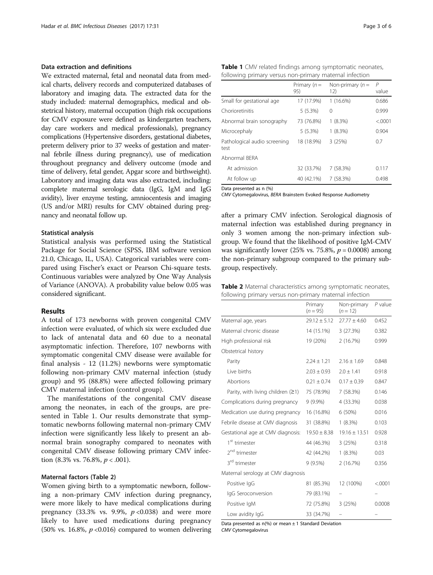## Data extraction and definitions

We extracted maternal, fetal and neonatal data from medical charts, delivery records and computerized databases of laboratory and imaging data. The extracted data for the study included: maternal demographics, medical and obstetrical history, maternal occupation (high risk occupations for CMV exposure were defined as kindergarten teachers, day care workers and medical professionals), pregnancy complications (Hypertensive disorders, gestational diabetes, preterm delivery prior to 37 weeks of gestation and maternal febrile illness during pregnancy), use of medication throughout pregnancy and delivery outcome (mode and time of delivery, fetal gender, Apgar score and birthweight). Laboratory and imaging data was also extracted, including: complete maternal serologic data (IgG, IgM and IgG avidity), liver enzyme testing, amniocentesis and imaging (US and/or MRI) results for CMV obtained during pregnancy and neonatal follow up.

## Statistical analysis

Statistical analysis was performed using the Statistical Package for Social Science (SPSS, IBM software version 21.0, Chicago, IL, USA). Categorical variables were compared using Fischer's exact or Pearson Chi-square tests. Continuous variables were analyzed by One Way Analysis of Variance (ANOVA). A probability value below 0.05 was considered significant.

## Results

A total of 173 newborns with proven congenital CMV infection were evaluated, of which six were excluded due to lack of antenatal data and 60 due to a neonatal asymptomatic infection. Therefore, 107 newborns with symptomatic congenital CMV disease were available for final analysis - 12 (11.2%) newborns were symptomatic following non-primary CMV maternal infection (study group) and 95 (88.8%) were affected following primary CMV maternal infection (control group).

The manifestations of the congenital CMV disease among the neonates, in each of the groups, are presented in Table 1. Our results demonstrate that symptomatic newborns following maternal non-primary CMV infection were significantly less likely to present an abnormal brain sonography compared to neonates with congenital CMV disease following primary CMV infection (8.3% vs. 76.8%,  $p < .001$ ).

## Maternal factors (Table 2)

Women giving birth to a symptomatic newborn, following a non-primary CMV infection during pregnancy, were more likely to have medical complications during pregnancy (33.3% vs. 9.9%,  $p \le 0.038$ ) and were more likely to have used medications during pregnancy (50% vs. 16.8%,  $p \le 0.016$ ) compared to women delivering

|  |                                                         |  | Table 1 CMV related findings among symptomatic neonates, |
|--|---------------------------------------------------------|--|----------------------------------------------------------|
|  | following primary versus non-primary maternal infection |  |                                                          |

|                                      | Primary $(n =$<br>95) | Non-primary $(n =$<br>12) | P<br>value |
|--------------------------------------|-----------------------|---------------------------|------------|
| Small for gestational age            | 17 (17.9%)            | $1(16.6\%)$               | 0.686      |
| Chorioretinitis                      | $5(5.3\%)$            | 0                         | 0.999      |
| Abnormal brain sonography            | 73 (76.8%)            | $1(8.3\%)$                | &0.001     |
| Microcephaly                         | 5(5.3%)               | $1(8.3\%)$                | 0.904      |
| Pathological audio screening<br>test | 18 (18.9%)            | 3(25%)                    | 0.7        |
| Abnormal BFRA                        |                       |                           |            |
| At admission                         | 32 (33.7%)            | 7(58.3%)                  | 0.117      |
| At follow up                         | 40 (42.1%)            | 7(58.3%)                  | 0.498      |

Data presented as n (%)

CMV Cytomegalovirus, BERA Brainstem Evoked Response Audiometry

after a primary CMV infection. Serological diagnosis of maternal infection was established during pregnancy in only 3 women among the non-primary infection subgroup. We found that the likelihood of positive IgM-CMV was significantly lower (25% vs. 75.8%,  $p = 0.0008$ ) among the non-primary subgroup compared to the primary subgroup, respectively.

| Table 2 Maternal characteristics among symptomatic neonates, |
|--------------------------------------------------------------|
| following primary versus non-primary maternal infection      |

|                                     | Primary<br>$(n = 95)$ | Non-primary<br>$(n = 12)$ | $P$ value |
|-------------------------------------|-----------------------|---------------------------|-----------|
| Maternal age, years                 | $29.12 \pm 5.12$      | $27.77 \pm 4.60$          | 0.452     |
| Maternal chronic disease            | 14 (15.1%)            | 3(27.3%)                  | 0.382     |
| High professional risk              | 19 (20%)              | 2 (16.7%)                 | 0.999     |
| Obstetrical history                 |                       |                           |           |
| Parity                              | $2.24 \pm 1.21$       | $2.16 \pm 1.69$           | 0.848     |
| Live births                         | $2.03 \pm 0.93$       | $2.0 \pm 1.41$            | 0.918     |
| Abortions                           | $0.21 + 0.74$         | $0.17 \pm 0.39$           | 0.847     |
| Parity, with living children $(≥1)$ | 75 (78.9%)            | 7(58.3%)                  | 0.146     |
| Complications during pregnancy      | $9(9.9\%)$            | 4 (33.3%)                 | 0.038     |
| Medication use during pregnancy     | 16 (16.8%)            | 6 (50%)                   | 0.016     |
| Febrile disease at CMV diagnosis    | 31 (38.8%)            | $1(8.3\%)$                | 0.103     |
| Gestational age at CMV diagnosis:   | $19.50 \pm 8.38$      | $19.16 \pm 13.51$         | 0.928     |
| 1 <sup>st</sup> trimester           | 44 (46.3%)            | 3(25%)                    | 0.318     |
| 2 <sup>nd</sup> trimester           | 42 (44.2%)            | $1(8.3\%)$                | 0.03      |
| 3 <sup>rd</sup> trimester           | $9(9.5\%)$            | 2(16.7%)                  | 0.356     |
| Maternal serology at CMV diagnosis  |                       |                           |           |
| Positive IgG                        | 81 (85.3%)            | 12 (100%)                 | < .0001   |
| IgG Seroconversion                  | 79 (83.1%)            |                           |           |
| Positive IgM                        | 72 (75.8%)            | 3(25%)                    | 0.0008    |
| Low avidity IgG                     | 33 (34.7%)            |                           |           |

Data presented as  $n$ <sup>(%)</sup> or mean  $\pm$  1 Standard Deviation CMV Cytomegalovirus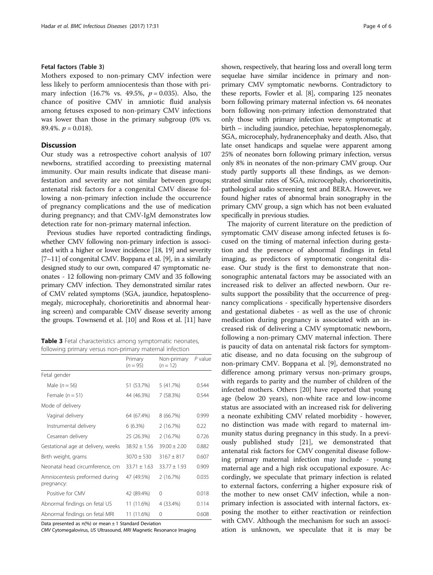## Fetal factors (Table 3)

Mothers exposed to non-primary CMV infection were less likely to perform amniocentesis than those with primary infection (16.7% vs. 49.5%,  $p = 0.035$ ). Also, the chance of positive CMV in amniotic fluid analysis among fetuses exposed to non-primary CMV infections was lower than those in the primary subgroup (0% vs. 89.4%.  $p = 0.018$ .

## **Discussion**

Our study was a retrospective cohort analysis of 107 newborns, stratified according to preexisting maternal immunity. Our main results indicate that disease manifestation and severity are not similar between groups; antenatal risk factors for a congenital CMV disease following a non-primary infection include the occurrence of pregnancy complications and the use of medication during pregnancy; and that CMV-IgM demonstrates low detection rate for non-primary maternal infection.

Previous studies have reported contradicting findings, whether CMV following non-primary infection is associated with a higher or lower incidence [[18](#page-5-0), [19\]](#page-5-0) and severity [[7](#page-5-0)–[11\]](#page-5-0) of congenital CMV. Boppana et al. [\[9](#page-5-0)], in a similarly designed study to our own, compared 47 symptomatic neonates - 12 following non-primary CMV and 35 following primary CMV infection. They demonstrated similar rates of CMV related symptoms (SGA, jaundice, hepatosplenomegaly, microcephaly, chorioretinitis and abnormal hearing screen) and comparable CMV disease severity among the groups. Townsend et al. [\[10\]](#page-5-0) and Ross et al. [[11](#page-5-0)] have

Table 3 Fetal characteristics among symptomatic neonates, following primary versus non-primary maternal infection

|                                              | Primary<br>$(n = 95)$ | Non-primary<br>$(n = 12)$ | P value |
|----------------------------------------------|-----------------------|---------------------------|---------|
| Fetal gender                                 |                       |                           |         |
| Male $(n = 56)$                              | 51 (53.7%)            | 5(41.7%)                  | 0.544   |
| Female $(n = 51)$                            | 44 (46.3%)            | 7 (58.3%)                 | 0.544   |
| Mode of delivery                             |                       |                           |         |
| Vaginal delivery                             | 64 (67.4%)            | 8 (66.7%)                 | 0.999   |
| Instrumental delivery                        | $6(6.3\%)$            | 2(16.7%)                  | 0.22    |
| Cesarean delivery                            | 25 (26.3%)            | 2(16.7%)                  | 0.726   |
| Gestational age at delivery, weeks           | $38.92 \pm 1.56$      | $39.00 \pm 2.00$          | 0.882   |
| Birth weight, grams                          | $3070 \pm 530$        | $3167 \pm 817$            | 0.607   |
| Neonatal head circumference, cm              | $33.71 \pm 1.63$      | $33.77 \pm 1.93$          | 0.909   |
| Amniocentesis preformed during<br>pregnancy: | 47 (49.5%)            | 2(16.7%)                  | 0.035   |
| Positive for CMV                             | 42 (89.4%)            | $\Omega$                  | 0.018   |
| Abnormal findings on fetal US                | 11 (11.6%)            | 4 (33.4%)                 | 0.114   |
| Abnormal findings on fetal MRI               | 11 (11.6%)            | 0                         | 0.608   |

Data presented as n(%) or mean ± 1 Standard Deviation

CMV Cytomegalovirus, US Ultrasound, MRI Magnetic Resonance Imaging

shown, respectively, that hearing loss and overall long term sequelae have similar incidence in primary and nonprimary CMV symptomatic newborns. Contradictory to these reports, Fowler et al. [[8](#page-5-0)], comparing 125 neonates born following primary maternal infection vs. 64 neonates born following non-primary infection demonstrated that only those with primary infection were symptomatic at birth – including jaundice, petechiae, hepatosplenomegaly, SGA, microcephaly, hydranencephaky and death. Also, that late onset handicaps and squelae were apparent among 25% of neonates born following primary infection, versus only 8% in neonates of the non-primary CMV group. Our study partly supports all these findings, as we demonstrated similar rates of SGA, microcephaly, chorioretinitis, pathological audio screening test and BERA. However, we found higher rates of abnormal brain sonography in the primary CMV group, a sign which has not been evaluated specifically in previous studies.

The majority of current literature on the prediction of symptomatic CMV disease among infected fetuses is focused on the timing of maternal infection during gestation and the presence of abnormal findings in fetal imaging, as predictors of symptomatic congenital disease. Our study is the first to demonstrate that nonsonographic antenatal factors may be associated with an increased risk to deliver an affected newborn. Our results support the possibility that the occurrence of pregnancy complications - specifically hypertensive disorders and gestational diabetes - as well as the use of chronic medication during pregnancy is associated with an increased risk of delivering a CMV symptomatic newborn, following a non-primary CMV maternal infection. There is paucity of data on antenatal risk factors for symptomatic disease, and no data focusing on the subgroup of non-primary CMV. Boppana et al. [\[9](#page-5-0)], demonstrated no difference among primary versus non-primary groups, with regards to parity and the number of children of the infected mothers. Others [[20\]](#page-5-0) have reported that young age (below 20 years), non-white race and low-income status are associated with an increased risk for delivering a neonate exhibiting CMV related morbidity - however, no distinction was made with regard to maternal immunity status during pregnancy in this study. In a previously published study [\[21](#page-5-0)], we demonstrated that antenatal risk factors for CMV congenital disease following primary maternal infection may include - young maternal age and a high risk occupational exposure. Accordingly, we speculate that primary infection is related to external factors, conferring a higher exposure risk of the mother to new onset CMV infection, while a nonprimary infection is associated with internal factors, exposing the mother to either reactivation or reinfection with CMV. Although the mechanism for such an association is unknown, we speculate that it is may be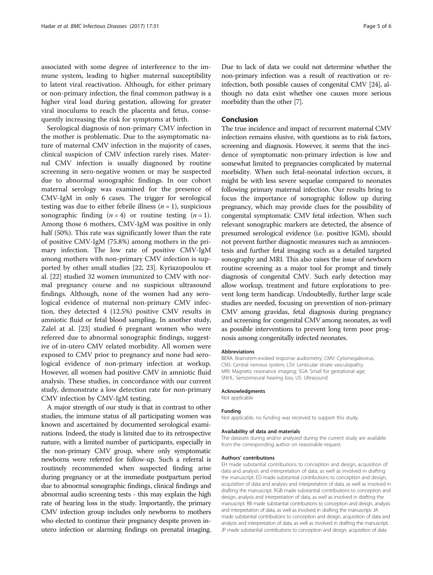associated with some degree of interference to the immune system, leading to higher maternal susceptibility to latent viral reactivation. Although, for either primary or non-primary infection, the final common pathway is a higher viral load during gestation, allowing for greater viral inoculums to reach the placenta and fetus, consequently increasing the risk for symptoms at birth.

Serological diagnosis of non-primary CMV infection in the mother is problematic. Due to the asymptomatic nature of maternal CMV infection in the majority of cases, clinical suspicion of CMV infection rarely rises. Maternal CMV infection is usually diagnosed by routine screening in sero-negative women or may be suspected due to abnormal sonographic findings. In our cohort maternal serology was examined for the presence of CMV-IgM in only 6 cases. The trigger for serological testing was due to either febrile illness  $(n = 1)$ , suspicious sonographic finding  $(n = 4)$  or routine testing  $(n = 1)$ . Among those 6 mothers, CMV-IgM was positive in only half (50%). This rate was significantly lower than the rate of positive CMV-IgM (75.8%) among mothers in the primary infection. The low rate of positive CMV-IgM among mothers with non-primary CMV infection is supported by other small studies [\[22](#page-5-0), [23\]](#page-5-0). Kyriazopoulou et al. [[22\]](#page-5-0) studied 32 women immunized to CMV with normal pregnancy course and no suspicious ultrasound findings. Although, none of the women had any serological evidence of maternal non-primary CMV infection, they detected 4 (12.5%) positive CMV results in amniotic fluid or fetal blood sampling. In another study, Zalel at al. [\[23\]](#page-5-0) studied 6 pregnant women who were referred due to abnormal sonographic findings, suggestive of in-utero CMV related morbidity. All women were exposed to CMV prior to pregnancy and none had serological evidence of non-primary infection at workup. However, all women had positive CMV in amniotic fluid analysis. These studies, in concordance with our current study, demonstrate a low detection rate for non-primary CMV infection by CMV-IgM testing.

A major strength of our study is that in contrast to other studies, the immune status of all participating women was known and ascertained by documented serological examinations. Indeed, the study is limited due to its retrospective nature, with a limited number of participants, especially in the non-primary CMV group, where only symptomatic newborns were referred for follow-up. Such a referral is routinely recommended when suspected finding arise during pregnancy or at the immediate postpartum period due to abnormal sonographic findings, clinical findings and abnormal audio screening tests - this may explain the high rate of hearing loss in the study. Importantly, the primary CMV infection group includes only newborns to mothers who elected to continue their pregnancy despite proven inutero infection or alarming findings on prenatal imaging. Due to lack of data we could not determine whether the non-primary infection was a result of reactivation or reinfection, both possible causes of congenital CMV [[24](#page-5-0)], although no data exist whether one causes more serious morbidity than the other [\[7](#page-5-0)].

## Conclusion

The true incidence and impact of recurrent maternal CMV infection remains elusive, with questions as to risk factors, screening and diagnosis. However, it seems that the incidence of symptomatic non-primary infection is low and somewhat limited to pregnancies complicated by maternal morbidity. When such fetal-neonatal infection occurs, it might be with less severe sequelae compared to neonates following primary maternal infection. Our results bring to focus the importance of sonographic follow up during pregnancy, which may provide clues for the possibility of congenital symptomatic CMV fetal infection. When such relevant sonographic markers are detected, the absence of presumed serological evidence (i.e. positive IGM), should not prevent further diagnostic measures such as amniocentesis and further fetal imaging such as a detailed targeted sonography and MRI. This also raises the issue of newborn routine screening as a major tool for prompt and timely diagnosis of congenital CMV. Such early detection may allow workup, treatment and future explorations to prevent long term handicap. Undoubtedly, further large scale studies are needed, focusing on prevention of non-primary CMV among gravidas, fetal diagnosis during pregnancy and screening for congenital CMV among neonates, as well as possible interventions to prevent long term poor prognosis among congenitally infected neonates.

#### Abbreviations

BERA: Brainstem-evoked response audiometry; CMV: Cytomegalovirus; CNS: Central nervous system; LSV: Lenticular striate vasculopathy; MRI: Magnetic resonance imaging; SGA: Small for gestational age; SNHL: Sensorineural hearing loss; US: Ultrasound

#### Acknowledgments

Not applicable

## Funding

Not applicable, no funding was received to support this study.

#### Availability of data and materials

The datasets during and/or analyzed during the current study are available from the corresponding author on reasonable request.

#### Authors' contributions

EH made substantial contributions to conception and design, acquisition of data and analysis and interpretation of data, as well as involved in drafting the manuscript. ED made substantial contributions to conception and design, acquisition of data and analysis and interpretation of data, as well as involved in drafting the manuscript. RGB made substantial contributions to conception and design, analysis and interpretation of data, as well as involved in drafting the manuscript. RB made substantial contributions to conception and design, analysis and interpretation of data, as well as involved in drafting the manuscript. JA made substantial contributions to conception and design, acquisition of data and analysis and interpretation of data, as well as involved in drafting the manuscript. JP made substantial contributions to conception and design, acquisition of data